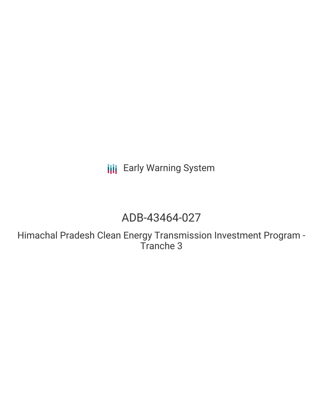**III** Early Warning System

# ADB-43464-027

Himachal Pradesh Clean Energy Transmission Investment Program - Tranche 3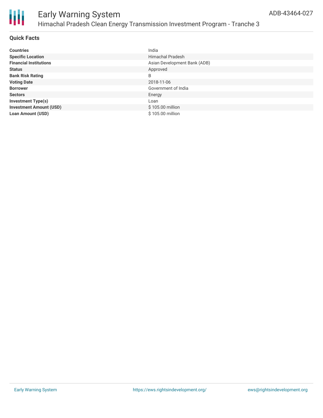

#### **Quick Facts**

| <b>Countries</b>               | India                        |
|--------------------------------|------------------------------|
| <b>Specific Location</b>       | <b>Himachal Pradesh</b>      |
| <b>Financial Institutions</b>  | Asian Development Bank (ADB) |
| <b>Status</b>                  | Approved                     |
| <b>Bank Risk Rating</b>        | B                            |
| <b>Voting Date</b>             | 2018-11-06                   |
| <b>Borrower</b>                | Government of India          |
| <b>Sectors</b>                 | Energy                       |
| <b>Investment Type(s)</b>      | Loan                         |
| <b>Investment Amount (USD)</b> | \$105.00 million             |
| <b>Loan Amount (USD)</b>       | \$105.00 million             |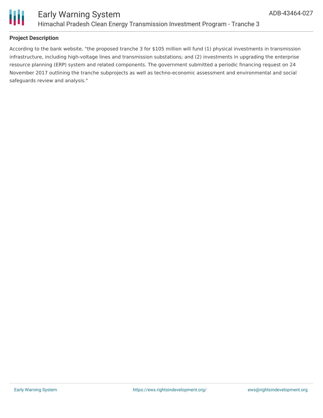

Ш

## **Project Description**

According to the bank website, "the proposed tranche 3 for \$105 million will fund (1) physical investments in transmission infrastructure, including high-voltage lines and transmission substations; and (2) investments in upgrading the enterprise resource planning (ERP) system and related components. The government submitted a periodic financing request on 24 November 2017 outlining the tranche subprojects as well as techno-economic assessment and environmental and social safeguards review and analysis."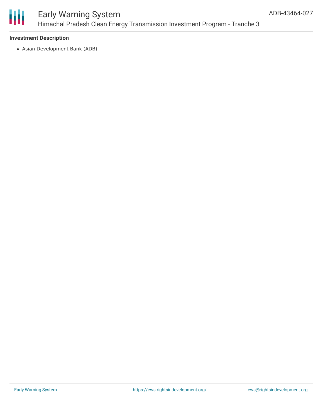

## Early Warning System Himachal Pradesh Clean Energy Transmission Investment Program - Tranche 3

## **Investment Description**

Asian Development Bank (ADB)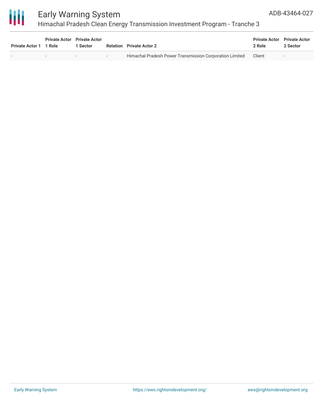

## Early Warning System

## Himachal Pradesh Clean Energy Transmission Investment Program - Tranche 3

| <b>Private Actor 1</b> | 1 Role | <b>Private Actor</b> Private Actor<br><b>Sector</b> |     | <b>Relation</b> Private Actor 2                         | <b>Private Actor</b> Private Actor<br>2 Role | 2 Sector                 |
|------------------------|--------|-----------------------------------------------------|-----|---------------------------------------------------------|----------------------------------------------|--------------------------|
|                        |        | $\overline{\phantom{a}}$                            | $-$ | Himachal Pradesh Power Transmission Corporation Limited | Client                                       | $\overline{\phantom{a}}$ |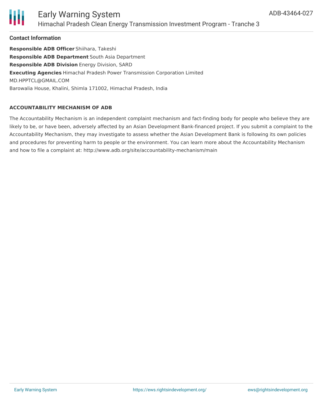

## Early Warning System Himachal Pradesh Clean Energy Transmission Investment Program - Tranche 3

#### **Contact Information**

**Responsible ADB Officer** Shiihara, Takeshi **Responsible ADB Department** South Asia Department **Responsible ADB Division** Energy Division, SARD **Executing Agencies** Himachal Pradesh Power Transmission Corporation Limited MD.HPPTCL@GMAIL.COM Barowalia House, Khalini, Shimla 171002, Himachal Pradesh, India

#### **ACCOUNTABILITY MECHANISM OF ADB**

The Accountability Mechanism is an independent complaint mechanism and fact-finding body for people who believe they are likely to be, or have been, adversely affected by an Asian Development Bank-financed project. If you submit a complaint to the Accountability Mechanism, they may investigate to assess whether the Asian Development Bank is following its own policies and procedures for preventing harm to people or the environment. You can learn more about the Accountability Mechanism and how to file a complaint at: http://www.adb.org/site/accountability-mechanism/main